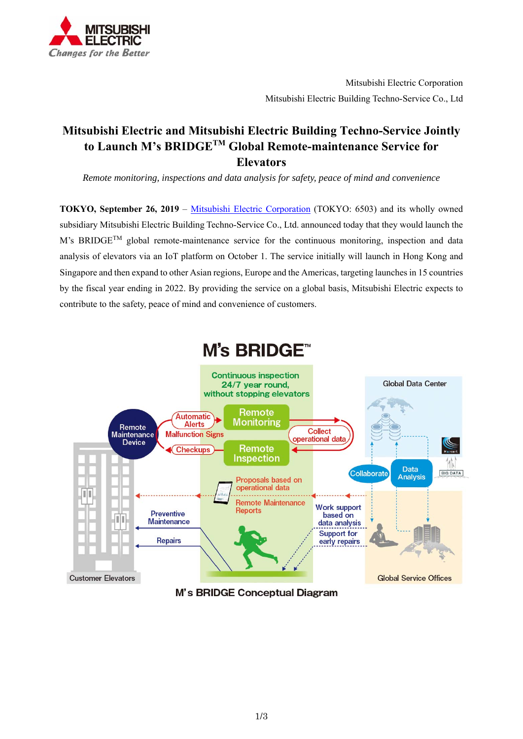

# **Mitsubishi Electric and Mitsubishi Electric Building Techno-Service Jointly to Launch M's BRIDGETM Global Remote-maintenance Service for Elevators**

*Remote monitoring, inspections and data analysis for safety, peace of mind and convenience*

**TOKYO, September 26, 2019** – Mitsubishi Electric Corporation (TOKYO: 6503) and its wholly owned subsidiary Mitsubishi Electric Building Techno-Service Co., Ltd. announced today that they would launch the M's BRIDGE<sup>TM</sup> global remote-maintenance service for the continuous monitoring, inspection and data analysis of elevators via an IoT platform on October 1. The service initially will launch in Hong Kong and Singapore and then expand to other Asian regions, Europe and the Americas, targeting launches in 15 countries by the fiscal year ending in 2022. By providing the service on a global basis, Mitsubishi Electric expects to contribute to the safety, peace of mind and convenience of customers.



M's BRIDGE Conceptual Diagram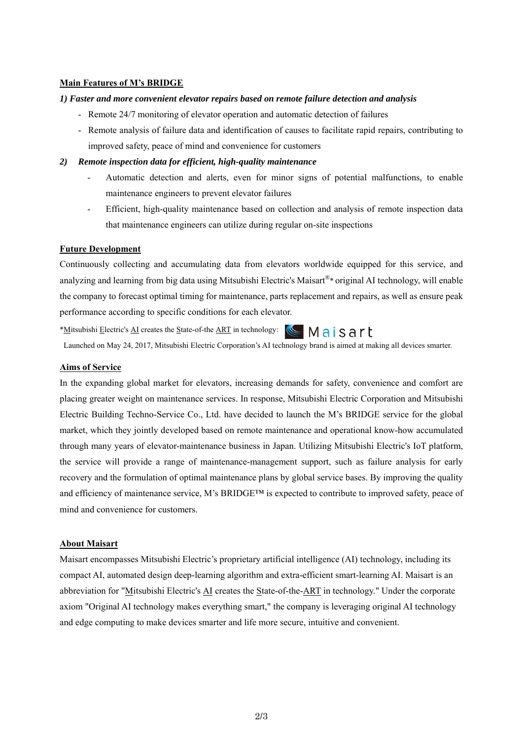### **Main Features of M's BRIDGE**

#### *1) Faster and more convenient elevator repairs based on remote failure detection and analysis*

- Remote 24/7 monitoring of elevator operation and automatic detection of failures
- Remote analysis of failure data and identification of causes to facilitate rapid repairs, contributing to improved safety, peace of mind and convenience for customers

#### *2) Remote inspection data for efficient, high-quality maintenance*

- Automatic detection and alerts, even for minor signs of potential malfunctions, to enable maintenance engineers to prevent elevator failures
- Efficient, high-quality maintenance based on collection and analysis of remote inspection data that maintenance engineers can utilize during regular on-site inspections

### **Future Development**

Continuously collecting and accumulating data from elevators worldwide equipped for this service, and analyzing and learning from big data using Mitsubishi Electric's Maisart®\* original AI technology, will enable the company to forecast optimal timing for maintenance, parts replacement and repairs, as well as ensure peak performance according to specific conditions for each elevator.

\*Mitsubishi Electric's AI creates the State-of-the ART in technology: <a>
Mais<br/>
Sart

Launched on May 24, 2017, Mitsubishi Electric Corporation's AI technology brand is aimed at making all devices smarter.

## **Aims of Service**

In the expanding global market for elevators, increasing demands for safety, convenience and comfort are placing greater weight on maintenance services. In response, Mitsubishi Electric Corporation and Mitsubishi Electric Building Techno-Service Co., Ltd. have decided to launch the M's BRIDGE service for the global market, which they jointly developed based on remote maintenance and operational know-how accumulated through many years of elevator-maintenance business in Japan. Utilizing Mitsubishi Electric's IoT platform, the service will provide a range of maintenance-management support, such as failure analysis for early recovery and the formulation of optimal maintenance plans by global service bases. By improving the quality and efficiency of maintenance service, M's BRIDGE™ is expected to contribute to improved safety, peace of mind and convenience for customers.

### **About Maisart**

Maisart encompasses Mitsubishi Electric's proprietary artificial intelligence (AI) technology, including its compact AI, automated design deep-learning algorithm and extra-efficient smart-learning AI. Maisart is an abbreviation for "Mitsubishi Electric's AI creates the State-of-the-ART in technology." Under the corporate axiom "Original AI technology makes everything smart," the company is leveraging original AI technology and edge computing to make devices smarter and life more secure, intuitive and convenient.